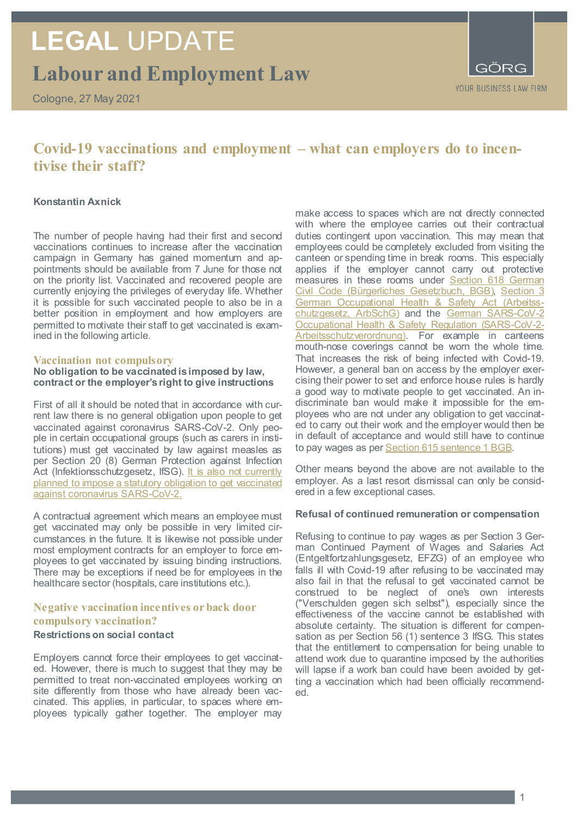## **Labour and Employment Law LEGAL** UPDATE

Cologne, 27 May 2021

### **Covid-19 vaccinations and employment – what can employers do to incentivise their staff?**

### **Konstantin Axnick**

The number of people having had their first and second vaccinations continues to increase after the vaccination campaign in Germany has gained momentum and appointments should be available from 7 June for those not on the priority list. Vaccinated and recovered people are currently enjoying the privileges of everyday life. Whether it is possible for such vaccinated people to also be in a better position in employment and how employers are permitted to motivate their staff to get vaccinated is examined in the following article.

#### **Vaccination not compulsory**

#### **No obligation to be vaccinated is imposed by law, contract or the employer's right to give instructions**

First of all it should be noted that in accordance with current law there is no general obligation upon people to get vaccinated against coronavirus SARS-CoV-2. Only people in certain occupational groups (such as carers in institutions) must get vaccinated by law against measles as per Section 20 (8) German Protection against Infection Act (Infektionsschutzgesetz, IfSG). It is also not currently [planned to impose a statutory obligation to get vaccinated](https://www.bundesregierung.de/breg-de/themen/coronavirus/coronavirus-impfung-faq-1788988#:%7E:text=Nein.%20Die%20Impfung%20gegen,das%20Coronavirus%20ist%20freiwillig.)  [against coronavirus SARS-CoV-2.](https://www.bundesregierung.de/breg-de/themen/coronavirus/coronavirus-impfung-faq-1788988#:%7E:text=Nein.%20Die%20Impfung%20gegen,das%20Coronavirus%20ist%20freiwillig.)

A contractual agreement which means an employee must get vaccinated may only be possible in very limited circumstances in the future. It is likewise not possible under most employment contracts for an employer to force employees to get vaccinated by issuing binding instructions. There may be exceptions if need be for employees in the healthcare sector (hospitals, care institutions etc.).

### **Negative vaccination incentives or back door compulsory vaccination?**

#### **Restrictions on social contact**

Employers cannot force their employees to get vaccinated. However, there is much to suggest that they may be permitted to treat non-vaccinated employees working on site differently from those who have already been vaccinated. This applies, in particular, to spaces where employees typically gather together. The employer may

make access to spaces which are not directly connected with where the employee carries out their contractual duties contingent upon vaccination. This may mean that employees could be completely excluded from visiting the canteen or spending time in break rooms. This especially applies if the employer cannot carry out protective measures in these rooms under [Section 618 German](https://dejure.org/gesetze/BGB/618.html)  [Civil Code \(Bürgerliches Gesetzbuch, BGB\),](https://dejure.org/gesetze/BGB/618.html) [Section 3](https://dejure.org/gesetze/ArbSchG/3.html)  [German Occupational Health & Safety Act \(Arbeitss](https://dejure.org/gesetze/ArbSchG/3.html)[chutzgesetz, ArbSchG\)](https://dejure.org/gesetze/ArbSchG/3.html) and the German SARS-CoV-2 [Occupational Health & Safety Regulation \(SARS-CoV-2-](https://www.gesetze-im-internet.de/corona-arbschv/BJNR602200021.html) [Arbeitsschutzverordnung\).](https://www.gesetze-im-internet.de/corona-arbschv/BJNR602200021.html) For example in canteens mouth-nose coverings cannot be worn the whole time. That increases the risk of being infected with Covid-19. However, a general ban on access by the employer exercising their power to set and enforce house rules is hardly a good way to motivate people to get vaccinated. An indiscriminate ban would make it impossible for the employees who are not under any obligation to get vaccinated to carry out their work and the employer would then be in default of acceptance and would still have to continue to pay wages as pe[r Section 615 sentence 1 BGB](https://dejure.org/gesetze/BGB/615.html).

Other means beyond the above are not available to the employer. As a last resort dismissal can only be considered in a few exceptional cases.

#### **Refusal of continued remuneration or compensation**

Refusing to continue to pay wages as per Section 3 German Continued Payment of Wages and Salaries Act (Entgeltfortzahlungsgesetz, EFZG) of an employee who falls ill with Covid-19 after refusing to be vaccinated may also fail in that the refusal to get vaccinated cannot be construed to be neglect of one's own interests ("Verschulden gegen sich selbst"), especially since the effectiveness of the vaccine cannot be established with absolute certainty. The situation is different for compensation as per Section 56 (1) sentence 3 IfSG. This states that the entitlement to compensation for being unable to attend work due to quarantine imposed by the authorities will lapse if a work ban could have been avoided by getting a vaccination which had been officially recommended.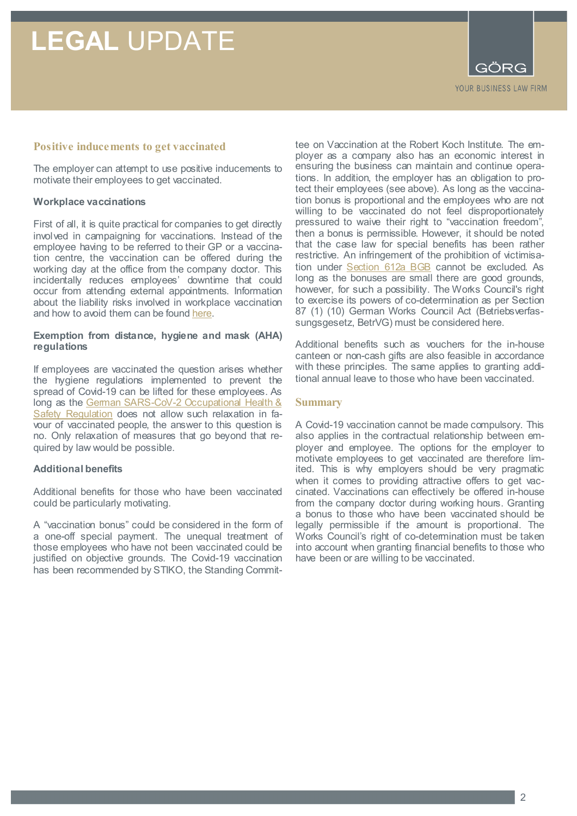## **LEGAL** UPDATE



#### **Positive inducements to get vaccinated**

The employer can attempt to use positive inducements to motivate their employees to get vaccinated.

#### **Workplace vaccinations**

First of all, it is quite practical for companies to get directly involved in campaigning for vaccinations. Instead of the employee having to be referred to their GP or a vaccination centre, the vaccination can be offered during the working day at the office from the company doctor. This incidentally reduces employees' downtime that could occur from attending external appointments. Information about the liability risks involved in workplace vaccination and how to avoid them can be found [here.](https://www.goerg.de/de/aktuelles/veroeffentlichungen/10-05-2021/impfen-im-betrieb-haftungsfalle-fuer-arbeitgeber)

#### **Exemption from distance, hygiene and mask (AHA) regulations**

If employees are vaccinated the question arises whether the hygiene regulations implemented to prevent the spread of Covid-19 can be lifted for these employees. As long as the German SARS-CoV-2 Occupational Health & [Safety Regulation](https://www.gesetze-im-internet.de/corona-arbschv/BJNR602200021.html) does not allow such relaxation in favour of vaccinated people, the answer to this question is no. Only relaxation of measures that go beyond that required by law would be possible.

#### **Additional benefits**

Additional benefits for those who have been vaccinated could be particularly motivating.

A "vaccination bonus" could be considered in the form of a one-off special payment. The unequal treatment of those employees who have not been vaccinated could be justified on objective grounds. The Covid-19 vaccination has been recommended by STIKO, the Standing Committee on Vaccination at the Robert Koch Institute. The employer as a company also has an economic interest in ensuring the business can maintain and continue operations. In addition, the employer has an obligation to protect their employees (see above). As long as the vaccination bonus is proportional and the employees who are not willing to be vaccinated do not feel disproportionately pressured to waive their right to "vaccination freedom", then a bonus is permissible. However, it should be noted that the case law for special benefits has been rather restrictive. An infringement of the prohibition of victimisa-tion under [Section 612a BGB](https://dejure.org/gesetze/BGB/612a.html) cannot be excluded. As long as the bonuses are small there are good grounds, however, for such a possibility. The Works Council's right to exercise its powers of co-determination as per Section 87 (1) (10) German Works Council Act (Betriebsverfassungsgesetz, BetrVG) must be considered here.

Additional benefits such as vouchers for the in-house canteen or non-cash gifts are also feasible in accordance with these principles. The same applies to granting additional annual leave to those who have been vaccinated.

#### **Summary**

A Covid-19 vaccination cannot be made compulsory. This also applies in the contractual relationship between employer and employee. The options for the employer to motivate employees to get vaccinated are therefore limited. This is why employers should be very pragmatic when it comes to providing attractive offers to get vaccinated. Vaccinations can effectively be offered in-house from the company doctor during working hours. Granting a bonus to those who have been vaccinated should be legally permissible if the amount is proportional. The Works Council's right of co-determination must be taken into account when granting financial benefits to those who have been or are willing to be vaccinated.